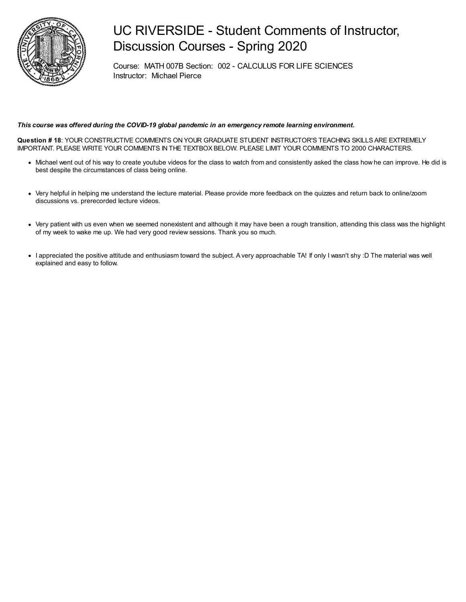

## UC RIVERSIDE - Student Comments of Instructor, Discussion Courses - Spring 2020

Course: MATH 007B Section: 002 - CALCULUS FOR LIFE SCIENCES Instructor: Michael Pierce

#### *This course was offered during the COVID-19 global pandemic in an emergency remote learning environment.*

**Question # 18**: YOUR CONSTRUCTIVE COMMENTS ON YOUR GRADUATE STUDENT INSTRUCTOR'S TEACHING SKILLS ARE EXTREMELY IMPORTANT. PLEASE WRITE YOUR COMMENTS IN THE TEXTBOX BELOW. PLEASE LIMIT YOUR COMMENTS TO 2000 CHARACTERS.

- Michael went out of his way to create youtube videos for the class to watch from and consistently asked the class how he can improve. He did is best despite the circumstances of class being online.
- Very helpful in helping me understand the lecture material. Please provide more feedback on the quizzes and return back to online/zoom discussions vs. prerecorded lecture videos.
- Very patient with us even when we seemed nonexistent and although it may have been a rough transition, attending this class was the highlight of my week to wake me up. We had very good review sessions. Thank you so much.
- I appreciated the positive attitude and enthusiasm toward the subject. A very approachable TA! If only I wasn't shy :D The material was well explained and easy to follow.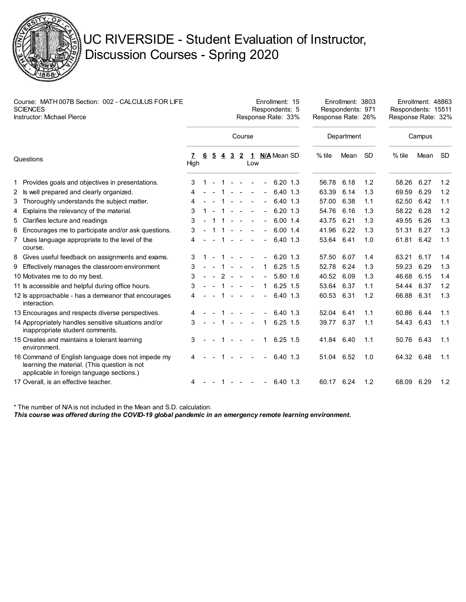

# UC RIVERSIDE - Student Evaluation of Instructor, Discussion Courses - Spring 2020

| Course: MATH 007B Section: 002 - CALCULUS FOR LIFE<br><b>SCIENCES</b><br><b>Instructor: Michael Pierce</b> |                                                                                                                                                | Enrollment: 15<br>Respondents: 5<br>Response Rate: 33% |   |                |                |                |                      |        |                |               | Enrollment: 3803<br>Respondents: 971<br>Response Rate: 26% |      |           | Enrollment: 48863<br>Respondents: 15511<br>Response Rate: 32% |      |           |
|------------------------------------------------------------------------------------------------------------|------------------------------------------------------------------------------------------------------------------------------------------------|--------------------------------------------------------|---|----------------|----------------|----------------|----------------------|--------|----------------|---------------|------------------------------------------------------------|------|-----------|---------------------------------------------------------------|------|-----------|
|                                                                                                            |                                                                                                                                                |                                                        |   |                |                |                | Course               |        |                |               | Department                                                 |      |           | Campus                                                        |      |           |
| Questions                                                                                                  |                                                                                                                                                | 7<br>High                                              | 6 | $\overline{5}$ | $\overline{4}$ | $\overline{3}$ | $\overline{2}$       | Low    |                | 1 N/A Mean SD | % tile                                                     | Mean | <b>SD</b> | $%$ tile                                                      | Mean | <b>SD</b> |
|                                                                                                            | 1 Provides goals and objectives in presentations.                                                                                              | 3                                                      |   | $\sim$         | $\mathbf{1}$   | $\sim$         | $\blacksquare$       |        |                | $6.20$ 1.3    | 56.78                                                      | 6.18 | 1.2       | 58.26                                                         | 6.27 | 1.2       |
|                                                                                                            | 2 Is well prepared and clearly organized.                                                                                                      | 4                                                      |   |                |                |                | $\sim$               |        | $\blacksquare$ | 6.40 1.3      | 63.39                                                      | 6.14 | 1.3       | 69.59                                                         | 6.29 | 1.2       |
|                                                                                                            | 3 Thoroughly understands the subject matter.                                                                                                   | 4                                                      |   |                |                |                |                      |        |                | 6.40 1.3      | 57.00                                                      | 6.38 | 1.1       | 62.50                                                         | 6.42 | 1.1       |
| 4                                                                                                          | Explains the relevancy of the material.                                                                                                        | 3                                                      |   |                |                |                |                      |        | $\blacksquare$ | $6.20$ 1.3    | 54.76                                                      | 6.16 | 1.3       | 58.22                                                         | 6.28 | 1.2       |
|                                                                                                            | 5 Clarifies lecture and readings                                                                                                               | 3                                                      |   |                | -1             | $\sim$         | $\sim$               |        | $\blacksquare$ | 6.00 1.4      | 43.75                                                      | 6.21 | 1.3       | 49.55                                                         | 6.26 | 1.3       |
|                                                                                                            | 6 Encourages me to participate and/or ask questions.                                                                                           | 3                                                      |   |                |                |                |                      |        |                | 6.00 1.4      | 41.96                                                      | 6.22 | 1.3       | 51.31                                                         | 6.27 | 1.3       |
|                                                                                                            | 7 Uses language appropriate to the level of the<br>course.                                                                                     | 4                                                      |   |                |                |                | $\sim$               |        |                | 6.40 1.3      | 53.64                                                      | 6.41 | 1.0       | 61.81                                                         | 6.42 | 1.1       |
|                                                                                                            | 8 Gives useful feedback on assignments and exams.                                                                                              | 3                                                      |   |                |                | $\sim$         | $\sim$               |        | $\sim$         | 6.20 1.3      | 57.50                                                      | 6.07 | 1.4       | 63.21                                                         | 6.17 | 1.4       |
|                                                                                                            | 9 Effectively manages the classroom environment                                                                                                | 3                                                      |   |                |                | $\sim$         | $\sim$               |        | 1              | $6.25$ 1.5    | 52.78                                                      | 6.24 | 1.3       | 59.23                                                         | 6.29 | 1.3       |
|                                                                                                            | 10 Motivates me to do my best.                                                                                                                 | 3                                                      |   |                | $\mathcal{P}$  |                |                      |        |                | 5.80 1.6      | 40.52                                                      | 6.09 | 1.3       | 46.68                                                         | 6.15 | 1.4       |
|                                                                                                            | 11 Is accessible and helpful during office hours.                                                                                              | 3                                                      |   |                |                |                |                      |        | 1              | $6.25$ 1.5    | 53.64 6.37                                                 |      | 1.1       | 54.44                                                         | 6.37 | 1.2       |
|                                                                                                            | 12 ls approachable - has a demeanor that encourages<br>interaction.                                                                            | 4                                                      |   |                |                | $\sim$         | $\sim$               | $\sim$ | $\blacksquare$ | 6.40 1.3      | 60.53                                                      | 6.31 | 1.2       | 66.88                                                         | 6.31 | 1.3       |
|                                                                                                            | 13 Encourages and respects diverse perspectives.                                                                                               | 4                                                      |   |                |                |                |                      |        |                | 6.40 1.3      | 52.04                                                      | 6.41 | 1.1       | 60.86                                                         | 6.44 | 1.1       |
|                                                                                                            | 14 Appropriately handles sensitive situations and/or<br>inappropriate student comments.                                                        | 3                                                      |   |                |                | $1 - -$        |                      | $\sim$ | 1.             | $6.25$ 1.5    | 39.77                                                      | 6.37 | 1.1       | 54.43                                                         | 6.43 | 1.1       |
|                                                                                                            | 15 Creates and maintains a tolerant learning<br>environment.                                                                                   | 3                                                      |   |                |                |                |                      |        | 1              | $6.25$ 1.5    | 41.84 6.40                                                 |      | 1.1       | 50.76                                                         | 6.43 | 1.1       |
|                                                                                                            | 16 Command of English language does not impede my<br>learning the material. (This question is not<br>applicable in foreign language sections.) | 4                                                      |   |                |                |                |                      |        |                | 6.40 1.3      | 51.04 6.52                                                 |      | 1.0       | 64.32                                                         | 6.48 | 1.1       |
|                                                                                                            | 17 Overall, is an effective teacher.                                                                                                           | 4                                                      |   |                | $\mathbf{1}$   | $\sim$         | $\sim$ $ \sim$ $  -$ |        | $\blacksquare$ | 6.40 1.3      | 60.17 6.24                                                 |      | 1.2       | 68.09                                                         | 6.29 | 1.2       |

\* The number of N/A is not included in the Mean and S.D. calculation.

*This course was offered during the COVID-19 global pandemic in an emergency remote learning environment.*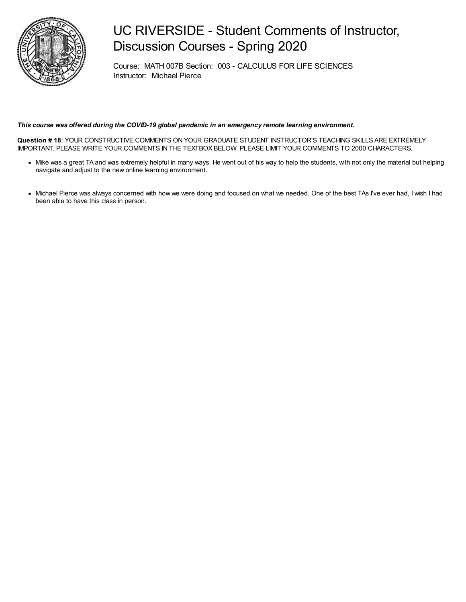

## UC RIVERSIDE - Student Comments of Instructor, Discussion Courses - Spring 2020

Course: MATH 007B Section: 003 - CALCULUS FOR LIFE SCIENCES Instructor: Michael Pierce

#### *This course was offered during the COVID-19 global pandemic in an emergency remote learning environment.*

**Question # 18**: YOUR CONSTRUCTIVE COMMENTS ON YOUR GRADUATE STUDENT INSTRUCTOR'S TEACHING SKILLS ARE EXTREMELY IMPORTANT. PLEASE WRITE YOUR COMMENTS IN THE TEXTBOX BELOW. PLEASE LIMIT YOUR COMMENTS TO 2000 CHARACTERS.

- Mike was a great TA and was extremely helpful in many ways. He went out of his way to help the students, with not only the material but helping navigate and adjust to the new online learning environment.
- Michael Pierce was always concerned with how we were doing and focused on what we needed. One of the best TAs I've ever had, I wish I had been able to have this class in person.